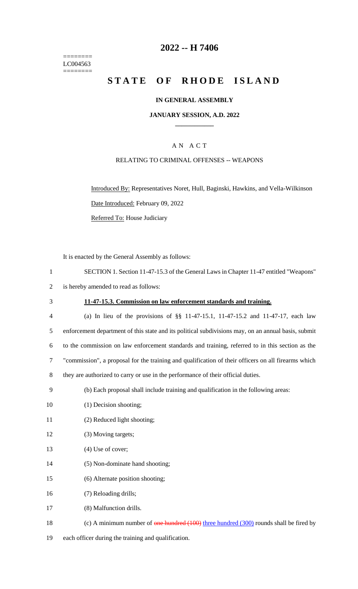======== LC004563  $=$ 

# **2022 -- H 7406**

# **STATE OF RHODE ISLAND**

### **IN GENERAL ASSEMBLY**

#### **JANUARY SESSION, A.D. 2022 \_\_\_\_\_\_\_\_\_\_\_\_**

# A N A C T

### RELATING TO CRIMINAL OFFENSES -- WEAPONS

Introduced By: Representatives Noret, Hull, Baginski, Hawkins, and Vella-Wilkinson Date Introduced: February 09, 2022 Referred To: House Judiciary

It is enacted by the General Assembly as follows:

| $\mathbf{1}$   | SECTION 1. Section 11-47-15.3 of the General Laws in Chapter 11-47 entitled "Weapons"               |
|----------------|-----------------------------------------------------------------------------------------------------|
| $\overline{2}$ | is hereby amended to read as follows:                                                               |
| 3              | 11-47-15.3. Commission on law enforcement standards and training.                                   |
| $\overline{4}$ | (a) In lieu of the provisions of §§ 11-47-15.1, 11-47-15.2 and 11-47-17, each law                   |
| 5              | enforcement department of this state and its political subdivisions may, on an annual basis, submit |
| 6              | to the commission on law enforcement standards and training, referred to in this section as the     |
| 7              | "commission", a proposal for the training and qualification of their officers on all firearms which |
| 8              | they are authorized to carry or use in the performance of their official duties.                    |
| 9              | (b) Each proposal shall include training and qualification in the following areas:                  |
| 10             | (1) Decision shooting;                                                                              |
| 11             | (2) Reduced light shooting;                                                                         |
| 12             | (3) Moving targets;                                                                                 |
| 13             | $(4)$ Use of cover;                                                                                 |
| 14             | (5) Non-dominate hand shooting;                                                                     |
| 15             | (6) Alternate position shooting;                                                                    |
| 16             | (7) Reloading drills;                                                                               |
| 17             | (8) Malfunction drills.                                                                             |
| 18             | (c) A minimum number of one hundred $(100)$ three hundred $(300)$ rounds shall be fired by          |
| 19             | each officer during the training and qualification.                                                 |
|                |                                                                                                     |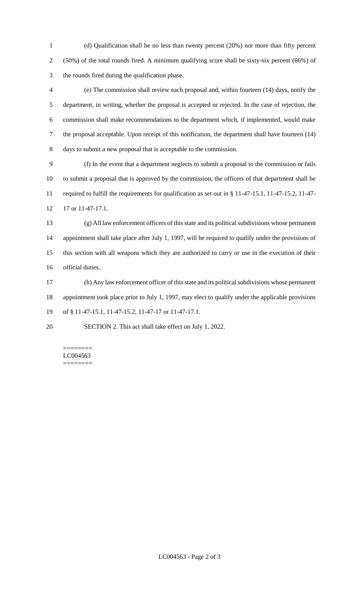(d) Qualification shall be no less than twenty percent (20%) nor more than fifty percent (50%) of the total rounds fired. A minimum qualifying score shall be sixty-six percent (66%) of the rounds fired during the qualification phase.

 (e) The commission shall review each proposal and, within fourteen (14) days, notify the department, in writing, whether the proposal is accepted or rejected. In the case of rejection, the commission shall make recommendations to the department which, if implemented, would make the proposal acceptable. Upon receipt of this notification, the department shall have fourteen (14) days to submit a new proposal that is acceptable to the commission.

 (f) In the event that a department neglects to submit a proposal to the commission or fails to submit a proposal that is approved by the commission, the officers of that department shall be required to fulfill the requirements for qualification as set out in § 11-47-15.1, 11-47-15.2, 11-47- 17 or 11-47-17.1.

 (g) All law enforcement officers of this state and its political subdivisions whose permanent appointment shall take place after July 1, 1997, will be required to qualify under the provisions of this section with all weapons which they are authorized to carry or use in the execution of their official duties.

 (h) Any law enforcement officer of this state and its political subdivisions whose permanent appointment took place prior to July 1, 1997, may elect to qualify under the applicable provisions of § 11-47-15.1, 11-47-15.2, 11-47-17 or 11-47-17.1.

SECTION 2. This act shall take effect on July 1, 2022.

======== LC004563 ========